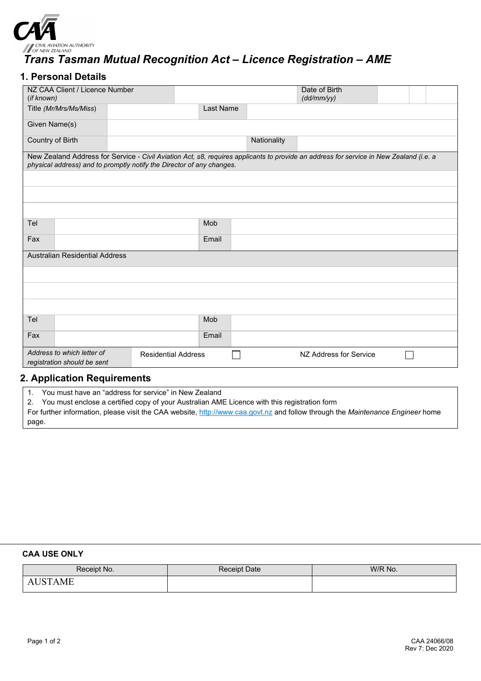

# *Trans Tasman Mutual Recognition Act – Licence Registration – AME*

## **1. Personal Details**

| NZ CAA Client / Licence Number<br>(if known)                                                                                                                                                                    |                        |  |           |                        | Date of Birth<br>(dd/mm/yy) |  |  |  |  |
|-----------------------------------------------------------------------------------------------------------------------------------------------------------------------------------------------------------------|------------------------|--|-----------|------------------------|-----------------------------|--|--|--|--|
|                                                                                                                                                                                                                 | Title (Mr/Mrs/Ms/Miss) |  | Last Name |                        |                             |  |  |  |  |
| Given Name(s)                                                                                                                                                                                                   |                        |  |           |                        |                             |  |  |  |  |
| Country of Birth                                                                                                                                                                                                |                        |  |           | Nationality            |                             |  |  |  |  |
| New Zealand Address for Service - Civil Aviation Act, s8, requires applicants to provide an address for service in New Zealand (i.e. a<br>physical address) and to promptly notify the Director of any changes. |                        |  |           |                        |                             |  |  |  |  |
|                                                                                                                                                                                                                 |                        |  |           |                        |                             |  |  |  |  |
|                                                                                                                                                                                                                 |                        |  |           |                        |                             |  |  |  |  |
|                                                                                                                                                                                                                 |                        |  |           |                        |                             |  |  |  |  |
| Tel                                                                                                                                                                                                             |                        |  | Mob       |                        |                             |  |  |  |  |
| Fax                                                                                                                                                                                                             |                        |  | Email     |                        |                             |  |  |  |  |
| <b>Australian Residential Address</b>                                                                                                                                                                           |                        |  |           |                        |                             |  |  |  |  |
|                                                                                                                                                                                                                 |                        |  |           |                        |                             |  |  |  |  |
|                                                                                                                                                                                                                 |                        |  |           |                        |                             |  |  |  |  |
|                                                                                                                                                                                                                 |                        |  |           |                        |                             |  |  |  |  |
| Tel                                                                                                                                                                                                             |                        |  | Mob       |                        |                             |  |  |  |  |
| Fax                                                                                                                                                                                                             |                        |  | Email     |                        |                             |  |  |  |  |
| Address to which letter of<br><b>Residential Address</b><br>registration should be sent                                                                                                                         |                        |  |           | NZ Address for Service |                             |  |  |  |  |

## **2. Application Requirements**

1. You must have an "address for service" in New Zealand

2. You must enclose a certified copy of your Australian AME Licence with this registration form

For further information, please visit the CAA website[, http://www.caa.govt.nz](http://www.caa.govt.nz/) and follow through the *Maintenance Engineer* home page.

#### **CAA USE ONLY**

| Receipt No.  | Receipt Date | W/R No. |
|--------------|--------------|---------|
| $\Delta M$ F |              |         |